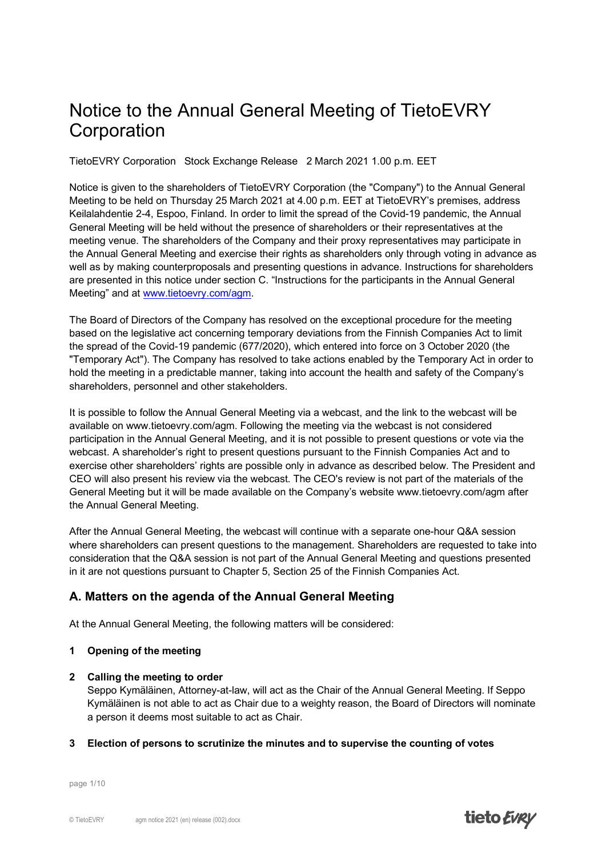# Notice to the Annual General Meeting of TietoEVRY **Corporation**

TietoEVRY Corporation Stock Exchange Release 2 March 2021 1.00 p.m. EET

Notice is given to the shareholders of TietoEVRY Corporation (the "Company") to the Annual General Meeting to be held on Thursday 25 March 2021 at 4.00 p.m. EET at TietoEVRY's premises, address Keilalahdentie 2-4, Espoo, Finland. In order to limit the spread of the Covid-19 pandemic, the Annual General Meeting will be held without the presence of shareholders or their representatives at the meeting venue. The shareholders of the Company and their proxy representatives may participate in the Annual General Meeting and exercise their rights as shareholders only through voting in advance as well as by making counterproposals and presenting questions in advance. Instructions for shareholders are presented in this notice under section C. "Instructions for the participants in the Annual General Meeting" and at [www.tietoevry.com/agm.](http://www.tietoevry.com/agm)

The Board of Directors of the Company has resolved on the exceptional procedure for the meeting based on the legislative act concerning temporary deviations from the Finnish Companies Act to limit the spread of the Covid-19 pandemic (677/2020), which entered into force on 3 October 2020 (the "Temporary Act"). The Company has resolved to take actions enabled by the Temporary Act in order to hold the meeting in a predictable manner, taking into account the health and safety of the Company's shareholders, personnel and other stakeholders.

It is possible to follow the Annual General Meeting via a webcast, and the link to the webcast will be available on www.tietoevry.com/agm. Following the meeting via the webcast is not considered participation in the Annual General Meeting, and it is not possible to present questions or vote via the webcast. A shareholder's right to present questions pursuant to the Finnish Companies Act and to exercise other shareholders' rights are possible only in advance as described below. The President and CEO will also present his review via the webcast. The CEO's review is not part of the materials of the General Meeting but it will be made available on the Company's website www.tietoevry.com/agm after the Annual General Meeting.

After the Annual General Meeting, the webcast will continue with a separate one-hour Q&A session where shareholders can present questions to the management. Shareholders are requested to take into consideration that the Q&A session is not part of the Annual General Meeting and questions presented in it are not questions pursuant to Chapter 5, Section 25 of the Finnish Companies Act.

# **A. Matters on the agenda of the Annual General Meeting**

At the Annual General Meeting, the following matters will be considered:

## **1 Opening of the meeting**

## **2 Calling the meeting to order**

Seppo Kymäläinen, Attorney-at-law, will act as the Chair of the Annual General Meeting. If Seppo Kymäläinen is not able to act as Chair due to a weighty reason, the Board of Directors will nominate a person it deems most suitable to act as Chair.

## **3 Election of persons to scrutinize the minutes and to supervise the counting of votes**

page 1/10

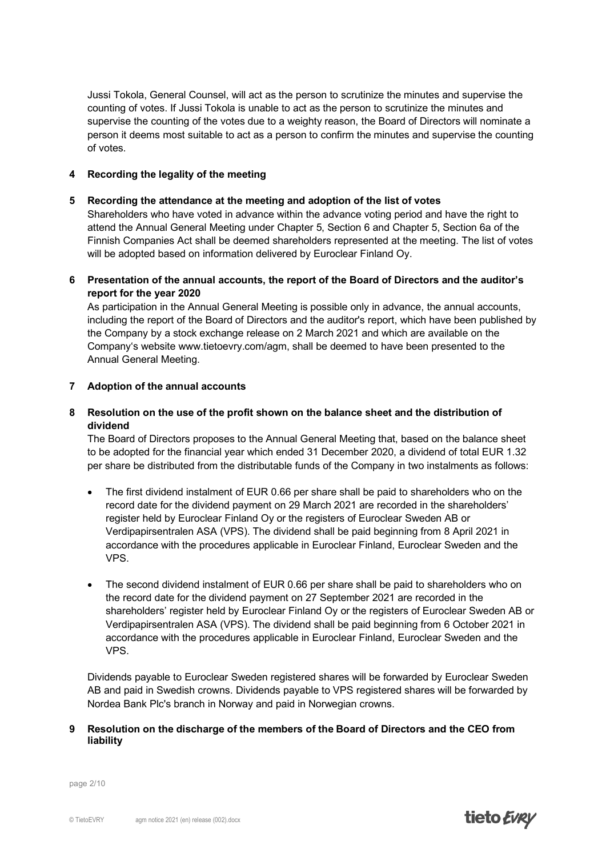Jussi Tokola, General Counsel, will act as the person to scrutinize the minutes and supervise the counting of votes. If Jussi Tokola is unable to act as the person to scrutinize the minutes and supervise the counting of the votes due to a weighty reason, the Board of Directors will nominate a person it deems most suitable to act as a person to confirm the minutes and supervise the counting of votes.

## **4 Recording the legality of the meeting**

## **5 Recording the attendance at the meeting and adoption of the list of votes**

Shareholders who have voted in advance within the advance voting period and have the right to attend the Annual General Meeting under Chapter 5, Section 6 and Chapter 5, Section 6a of the Finnish Companies Act shall be deemed shareholders represented at the meeting. The list of votes will be adopted based on information delivered by Euroclear Finland Oy.

**6 Presentation of the annual accounts, the report of the Board of Directors and the auditor's report for the year 2020**

As participation in the Annual General Meeting is possible only in advance, the annual accounts, including the report of the Board of Directors and the auditor's report, which have been published by the Company by a stock exchange release on 2 March 2021 and which are available on the Company's website www.tietoevry.com/agm, shall be deemed to have been presented to the Annual General Meeting.

## **7 Adoption of the annual accounts**

## **8 Resolution on the use of the profit shown on the balance sheet and the distribution of dividend**

The Board of Directors proposes to the Annual General Meeting that, based on the balance sheet to be adopted for the financial year which ended 31 December 2020, a dividend of total EUR 1.32 per share be distributed from the distributable funds of the Company in two instalments as follows:

- The first dividend instalment of EUR 0.66 per share shall be paid to shareholders who on the record date for the dividend payment on 29 March 2021 are recorded in the shareholders' register held by Euroclear Finland Oy or the registers of Euroclear Sweden AB or Verdipapirsentralen ASA (VPS). The dividend shall be paid beginning from 8 April 2021 in accordance with the procedures applicable in Euroclear Finland, Euroclear Sweden and the VPS.
- The second dividend instalment of EUR 0.66 per share shall be paid to shareholders who on the record date for the dividend payment on 27 September 2021 are recorded in the shareholders' register held by Euroclear Finland Oy or the registers of Euroclear Sweden AB or Verdipapirsentralen ASA (VPS). The dividend shall be paid beginning from 6 October 2021 in accordance with the procedures applicable in Euroclear Finland, Euroclear Sweden and the VPS.

Dividends payable to Euroclear Sweden registered shares will be forwarded by Euroclear Sweden AB and paid in Swedish crowns. Dividends payable to VPS registered shares will be forwarded by Nordea Bank Plc's branch in Norway and paid in Norwegian crowns.

## **9 Resolution on the discharge of the members of the Board of Directors and the CEO from liability**

page 2/10

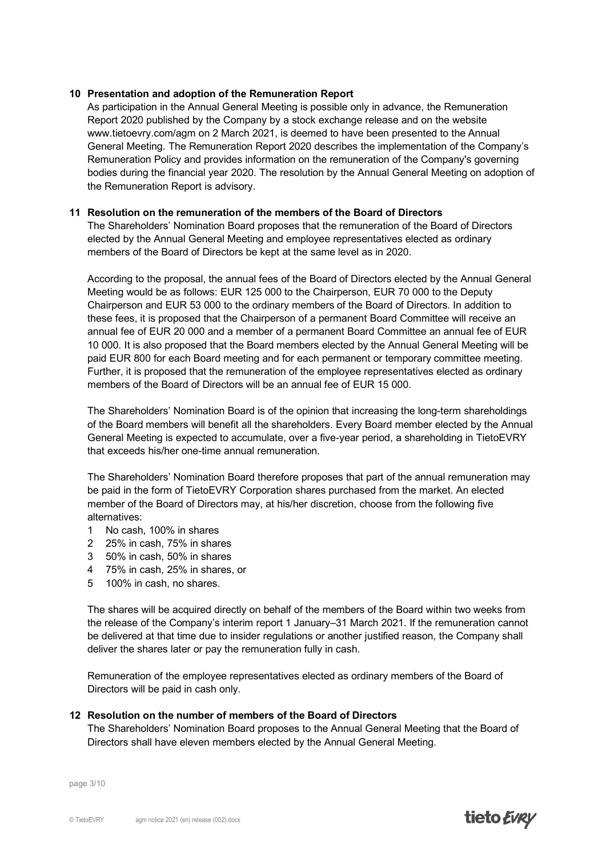#### **10 Presentation and adoption of the Remuneration Report**

As participation in the Annual General Meeting is possible only in advance, the Remuneration Report 2020 published by the Company by a stock exchange release and on the website www.tietoevry.com/agm on 2 March 2021, is deemed to have been presented to the Annual General Meeting. The Remuneration Report 2020 describes the implementation of the Company's Remuneration Policy and provides information on the remuneration of the Company's governing bodies during the financial year 2020. The resolution by the Annual General Meeting on adoption of the Remuneration Report is advisory.

## **11 Resolution on the remuneration of the members of the Board of Directors**

The Shareholders' Nomination Board proposes that the remuneration of the Board of Directors elected by the Annual General Meeting and employee representatives elected as ordinary members of the Board of Directors be kept at the same level as in 2020.

According to the proposal, the annual fees of the Board of Directors elected by the Annual General Meeting would be as follows: EUR 125 000 to the Chairperson, EUR 70 000 to the Deputy Chairperson and EUR 53 000 to the ordinary members of the Board of Directors. In addition to these fees, it is proposed that the Chairperson of a permanent Board Committee will receive an annual fee of EUR 20 000 and a member of a permanent Board Committee an annual fee of EUR 10 000. It is also proposed that the Board members elected by the Annual General Meeting will be paid EUR 800 for each Board meeting and for each permanent or temporary committee meeting. Further, it is proposed that the remuneration of the employee representatives elected as ordinary members of the Board of Directors will be an annual fee of EUR 15 000.

The Shareholders' Nomination Board is of the opinion that increasing the long-term shareholdings of the Board members will benefit all the shareholders. Every Board member elected by the Annual General Meeting is expected to accumulate, over a five-year period, a shareholding in TietoEVRY that exceeds his/her one-time annual remuneration.

The Shareholders' Nomination Board therefore proposes that part of the annual remuneration may be paid in the form of TietoEVRY Corporation shares purchased from the market. An elected member of the Board of Directors may, at his/her discretion, choose from the following five alternatives:

- 1 No cash, 100% in shares
- 2 25% in cash, 75% in shares
- 3 50% in cash, 50% in shares
- 4 75% in cash, 25% in shares, or
- 5 100% in cash, no shares.

The shares will be acquired directly on behalf of the members of the Board within two weeks from the release of the Company's interim report 1 January–31 March 2021. If the remuneration cannot be delivered at that time due to insider regulations or another justified reason, the Company shall deliver the shares later or pay the remuneration fully in cash.

Remuneration of the employee representatives elected as ordinary members of the Board of Directors will be paid in cash only.

#### **12 Resolution on the number of members of the Board of Directors**

The Shareholders' Nomination Board proposes to the Annual General Meeting that the Board of Directors shall have eleven members elected by the Annual General Meeting.

page 3/10

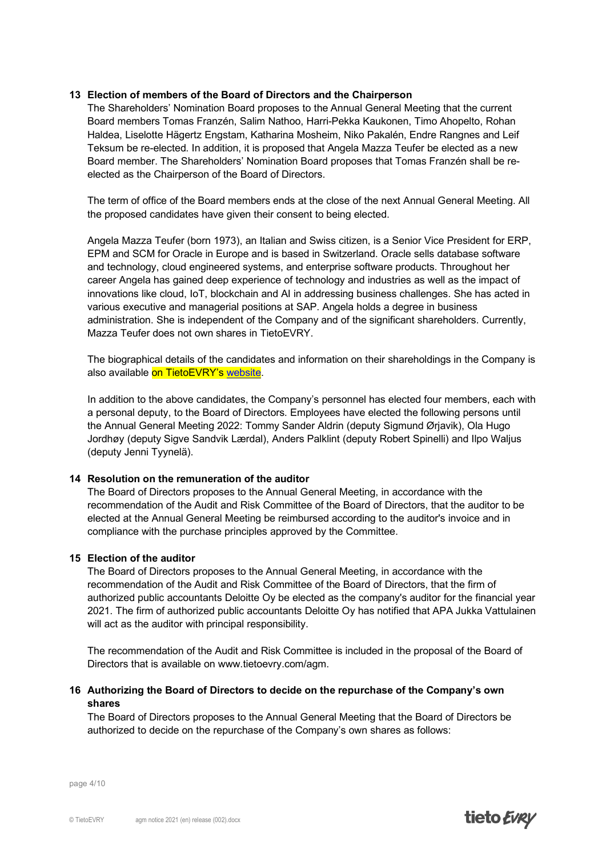#### **13 Election of members of the Board of Directors and the Chairperson**

The Shareholders' Nomination Board proposes to the Annual General Meeting that the current Board members Tomas Franzén, Salim Nathoo, Harri-Pekka Kaukonen, Timo Ahopelto, Rohan Haldea, Liselotte Hägertz Engstam, Katharina Mosheim, Niko Pakalén, Endre Rangnes and Leif Teksum be re-elected. In addition, it is proposed that Angela Mazza Teufer be elected as a new Board member. The Shareholders' Nomination Board proposes that Tomas Franzén shall be reelected as the Chairperson of the Board of Directors.

The term of office of the Board members ends at the close of the next Annual General Meeting. All the proposed candidates have given their consent to being elected.

Angela Mazza Teufer (born 1973), an Italian and Swiss citizen, is a Senior Vice President for ERP, EPM and SCM for Oracle in Europe and is based in Switzerland. Oracle sells database software and technology, cloud engineered systems, and enterprise software products. Throughout her career Angela has gained deep experience of technology and industries as well as the impact of innovations like cloud, IoT, blockchain and AI in addressing business challenges. She has acted in various executive and managerial positions at SAP. Angela holds a degree in business administration. She is independent of the Company and of the significant shareholders. Currently, Mazza Teufer does not own shares in TietoEVRY.

The biographical details of the candidates and information on their shareholdings in the Company is also available on TietoEVRY's [website.](http://www.tietoevry.com/en/investor-relations/governance/board-of-directors)

In addition to the above candidates, the Company's personnel has elected four members, each with a personal deputy, to the Board of Directors. Employees have elected the following persons until the Annual General Meeting 2022: Tommy Sander Aldrin (deputy Sigmund Ørjavik), Ola Hugo Jordhøy (deputy Sigve Sandvik Lærdal), Anders Palklint (deputy Robert Spinelli) and Ilpo Waljus (deputy Jenni Tyynelä).

#### **14 Resolution on the remuneration of the auditor**

The Board of Directors proposes to the Annual General Meeting, in accordance with the recommendation of the Audit and Risk Committee of the Board of Directors, that the auditor to be elected at the Annual General Meeting be reimbursed according to the auditor's invoice and in compliance with the purchase principles approved by the Committee.

#### **15 Election of the auditor**

The Board of Directors proposes to the Annual General Meeting, in accordance with the recommendation of the Audit and Risk Committee of the Board of Directors, that the firm of authorized public accountants Deloitte Oy be elected as the company's auditor for the financial year 2021. The firm of authorized public accountants Deloitte Oy has notified that APA Jukka Vattulainen will act as the auditor with principal responsibility.

The recommendation of the Audit and Risk Committee is included in the proposal of the Board of Directors that is available on www.tietoevry.com/agm.

## **16 Authorizing the Board of Directors to decide on the repurchase of the Company's own shares**

The Board of Directors proposes to the Annual General Meeting that the Board of Directors be authorized to decide on the repurchase of the Company's own shares as follows:

page 4/10

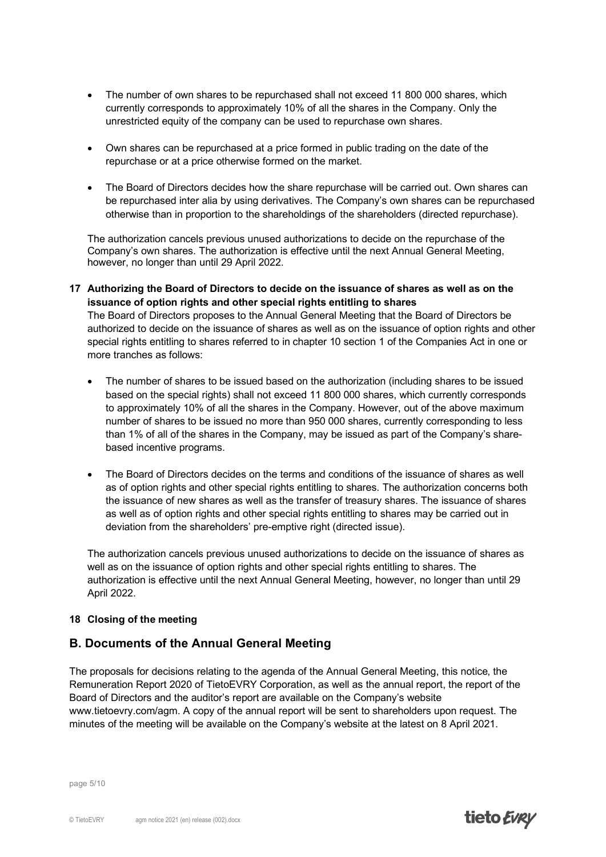- The number of own shares to be repurchased shall not exceed 11 800 000 shares, which currently corresponds to approximately 10% of all the shares in the Company. Only the unrestricted equity of the company can be used to repurchase own shares.
- Own shares can be repurchased at a price formed in public trading on the date of the repurchase or at a price otherwise formed on the market.
- The Board of Directors decides how the share repurchase will be carried out. Own shares can be repurchased inter alia by using derivatives. The Company's own shares can be repurchased otherwise than in proportion to the shareholdings of the shareholders (directed repurchase).

The authorization cancels previous unused authorizations to decide on the repurchase of the Company's own shares. The authorization is effective until the next Annual General Meeting, however, no longer than until 29 April 2022.

**17 Authorizing the Board of Directors to decide on the issuance of shares as well as on the issuance of option rights and other special rights entitling to shares** The Board of Directors proposes to the Annual General Meeting that the Board of Directors be authorized to decide on the issuance of shares as well as on the issuance of option rights and other special rights entitling to shares referred to in chapter 10 section 1 of the Companies Act in one or more tranches as follows:

- The number of shares to be issued based on the authorization (including shares to be issued based on the special rights) shall not exceed 11 800 000 shares, which currently corresponds to approximately 10% of all the shares in the Company. However, out of the above maximum number of shares to be issued no more than 950 000 shares, currently corresponding to less than 1% of all of the shares in the Company, may be issued as part of the Company's sharebased incentive programs.
- The Board of Directors decides on the terms and conditions of the issuance of shares as well as of option rights and other special rights entitling to shares. The authorization concerns both the issuance of new shares as well as the transfer of treasury shares. The issuance of shares as well as of option rights and other special rights entitling to shares may be carried out in deviation from the shareholders' pre-emptive right (directed issue).

The authorization cancels previous unused authorizations to decide on the issuance of shares as well as on the issuance of option rights and other special rights entitling to shares. The authorization is effective until the next Annual General Meeting, however, no longer than until 29 April 2022.

## **18 Closing of the meeting**

## **B. Documents of the Annual General Meeting**

The proposals for decisions relating to the agenda of the Annual General Meeting, this notice, the Remuneration Report 2020 of TietoEVRY Corporation, as well as the annual report, the report of the Board of Directors and the auditor's report are available on the Company's website www.tietoevry.com/agm. A copy of the annual report will be sent to shareholders upon request. The minutes of the meeting will be available on the Company's website at the latest on 8 April 2021.

page 5/10

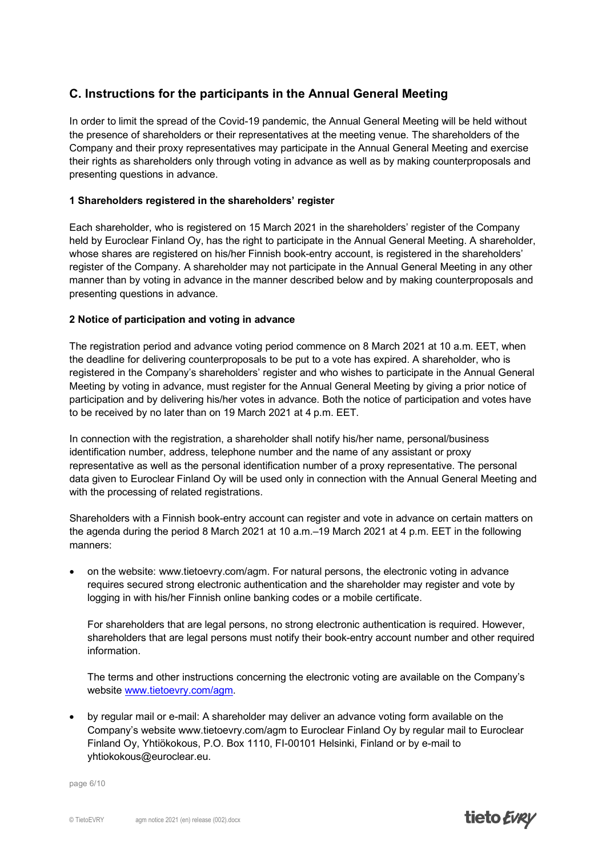# **C. Instructions for the participants in the Annual General Meeting**

In order to limit the spread of the Covid-19 pandemic, the Annual General Meeting will be held without the presence of shareholders or their representatives at the meeting venue. The shareholders of the Company and their proxy representatives may participate in the Annual General Meeting and exercise their rights as shareholders only through voting in advance as well as by making counterproposals and presenting questions in advance.

## **1 Shareholders registered in the shareholders' register**

Each shareholder, who is registered on 15 March 2021 in the shareholders' register of the Company held by Euroclear Finland Oy, has the right to participate in the Annual General Meeting. A shareholder, whose shares are registered on his/her Finnish book-entry account, is registered in the shareholders' register of the Company. A shareholder may not participate in the Annual General Meeting in any other manner than by voting in advance in the manner described below and by making counterproposals and presenting questions in advance.

## **2 Notice of participation and voting in advance**

The registration period and advance voting period commence on 8 March 2021 at 10 a.m. EET, when the deadline for delivering counterproposals to be put to a vote has expired. A shareholder, who is registered in the Company's shareholders' register and who wishes to participate in the Annual General Meeting by voting in advance, must register for the Annual General Meeting by giving a prior notice of participation and by delivering his/her votes in advance. Both the notice of participation and votes have to be received by no later than on 19 March 2021 at 4 p.m. EET.

In connection with the registration, a shareholder shall notify his/her name, personal/business identification number, address, telephone number and the name of any assistant or proxy representative as well as the personal identification number of a proxy representative. The personal data given to Euroclear Finland Oy will be used only in connection with the Annual General Meeting and with the processing of related registrations.

Shareholders with a Finnish book-entry account can register and vote in advance on certain matters on the agenda during the period 8 March 2021 at 10 a.m.–19 March 2021 at 4 p.m. EET in the following manners:

• on the website: www.tietoevry.com/agm. For natural persons, the electronic voting in advance requires secured strong electronic authentication and the shareholder may register and vote by logging in with his/her Finnish online banking codes or a mobile certificate.

For shareholders that are legal persons, no strong electronic authentication is required. However, shareholders that are legal persons must notify their book-entry account number and other required information.

The terms and other instructions concerning the electronic voting are available on the Company's website [www.tietoevry.com/agm.](http://www.tietoevry.com/agm)

• by regular mail or e-mail: A shareholder may deliver an advance voting form available on the Company's website www.tietoevry.com/agm to Euroclear Finland Oy by regular mail to Euroclear Finland Oy, Yhtiökokous, P.O. Box 1110, FI-00101 Helsinki, Finland or by e-mail to yhtiokokous@euroclear.eu.

page 6/10

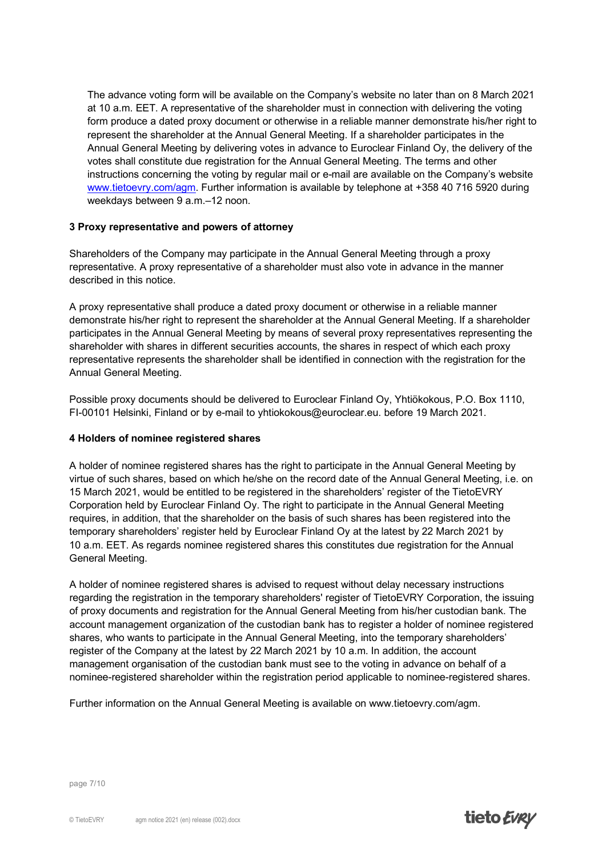The advance voting form will be available on the Company's website no later than on 8 March 2021 at 10 a.m. EET. A representative of the shareholder must in connection with delivering the voting form produce a dated proxy document or otherwise in a reliable manner demonstrate his/her right to represent the shareholder at the Annual General Meeting. If a shareholder participates in the Annual General Meeting by delivering votes in advance to Euroclear Finland Oy, the delivery of the votes shall constitute due registration for the Annual General Meeting. The terms and other instructions concerning the voting by regular mail or e-mail are available on the Company's website [www.tietoevry.com/agm.](http://www.tietoevry.com/agm) Further information is available by telephone at +358 40 716 5920 during weekdays between 9 a.m.–12 noon.

## **3 Proxy representative and powers of attorney**

Shareholders of the Company may participate in the Annual General Meeting through a proxy representative. A proxy representative of a shareholder must also vote in advance in the manner described in this notice.

A proxy representative shall produce a dated proxy document or otherwise in a reliable manner demonstrate his/her right to represent the shareholder at the Annual General Meeting. If a shareholder participates in the Annual General Meeting by means of several proxy representatives representing the shareholder with shares in different securities accounts, the shares in respect of which each proxy representative represents the shareholder shall be identified in connection with the registration for the Annual General Meeting.

Possible proxy documents should be delivered to Euroclear Finland Oy, Yhtiökokous, P.O. Box 1110, FI-00101 Helsinki, Finland or by e-mail to yhtiokokous@euroclear.eu. before 19 March 2021.

## **4 Holders of nominee registered shares**

A holder of nominee registered shares has the right to participate in the Annual General Meeting by virtue of such shares, based on which he/she on the record date of the Annual General Meeting, i.e. on 15 March 2021, would be entitled to be registered in the shareholders' register of the TietoEVRY Corporation held by Euroclear Finland Oy. The right to participate in the Annual General Meeting requires, in addition, that the shareholder on the basis of such shares has been registered into the temporary shareholders' register held by Euroclear Finland Oy at the latest by 22 March 2021 by 10 a.m. EET. As regards nominee registered shares this constitutes due registration for the Annual General Meeting.

A holder of nominee registered shares is advised to request without delay necessary instructions regarding the registration in the temporary shareholders' register of TietoEVRY Corporation, the issuing of proxy documents and registration for the Annual General Meeting from his/her custodian bank. The account management organization of the custodian bank has to register a holder of nominee registered shares, who wants to participate in the Annual General Meeting, into the temporary shareholders' register of the Company at the latest by 22 March 2021 by 10 a.m. In addition, the account management organisation of the custodian bank must see to the voting in advance on behalf of a nominee-registered shareholder within the registration period applicable to nominee-registered shares.

Further information on the Annual General Meeting is available on www.tietoevry.com/agm.

page 7/10

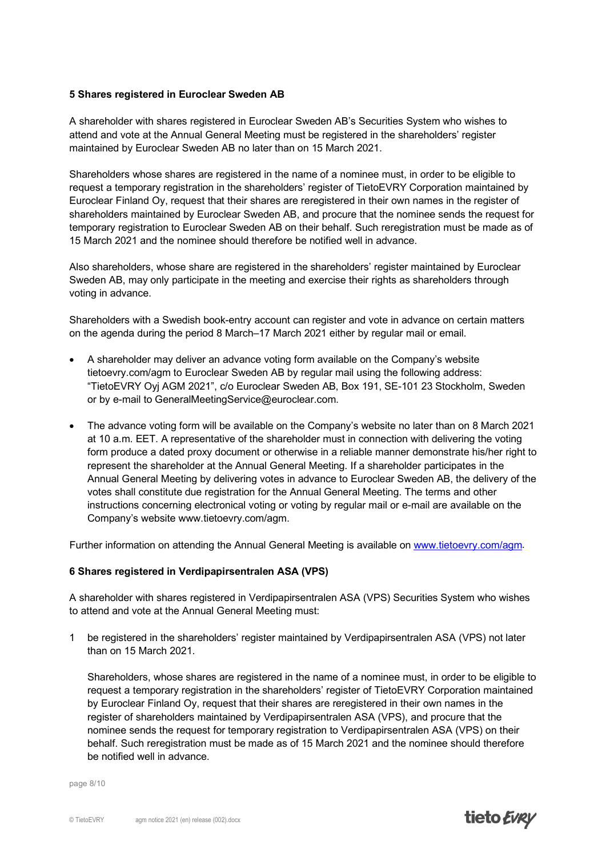#### **5 Shares registered in Euroclear Sweden AB**

A shareholder with shares registered in Euroclear Sweden AB's Securities System who wishes to attend and vote at the Annual General Meeting must be registered in the shareholders' register maintained by Euroclear Sweden AB no later than on 15 March 2021.

Shareholders whose shares are registered in the name of a nominee must, in order to be eligible to request a temporary registration in the shareholders' register of TietoEVRY Corporation maintained by Euroclear Finland Oy, request that their shares are reregistered in their own names in the register of shareholders maintained by Euroclear Sweden AB, and procure that the nominee sends the request for temporary registration to Euroclear Sweden AB on their behalf. Such reregistration must be made as of 15 March 2021 and the nominee should therefore be notified well in advance.

Also shareholders, whose share are registered in the shareholders' register maintained by Euroclear Sweden AB, may only participate in the meeting and exercise their rights as shareholders through voting in advance.

Shareholders with a Swedish book-entry account can register and vote in advance on certain matters on the agenda during the period 8 March–17 March 2021 either by regular mail or email.

- A shareholder may deliver an advance voting form available on the Company's website tietoevry.com/agm to Euroclear Sweden AB by regular mail using the following address: "TietoEVRY Oyj AGM 2021", c/o Euroclear Sweden AB, Box 191, SE-101 23 Stockholm, Sweden or by e-mail to GeneralMeetingService@euroclear.com.
- The advance voting form will be available on the Company's website no later than on 8 March 2021 at 10 a.m. EET. A representative of the shareholder must in connection with delivering the voting form produce a dated proxy document or otherwise in a reliable manner demonstrate his/her right to represent the shareholder at the Annual General Meeting. If a shareholder participates in the Annual General Meeting by delivering votes in advance to Euroclear Sweden AB, the delivery of the votes shall constitute due registration for the Annual General Meeting. The terms and other instructions concerning electronical voting or voting by regular mail or e-mail are available on the Company's website www.tietoevry.com/agm.

Further information on attending the Annual General Meeting is available on [www.tietoevry.com/agm.](http://www.tietoevry.com/agm)

#### **6 Shares registered in Verdipapirsentralen ASA (VPS)**

A shareholder with shares registered in Verdipapirsentralen ASA (VPS) Securities System who wishes to attend and vote at the Annual General Meeting must:

1 be registered in the shareholders' register maintained by Verdipapirsentralen ASA (VPS) not later than on 15 March 2021.

Shareholders, whose shares are registered in the name of a nominee must, in order to be eligible to request a temporary registration in the shareholders' register of TietoEVRY Corporation maintained by Euroclear Finland Oy, request that their shares are reregistered in their own names in the register of shareholders maintained by Verdipapirsentralen ASA (VPS), and procure that the nominee sends the request for temporary registration to Verdipapirsentralen ASA (VPS) on their behalf. Such reregistration must be made as of 15 March 2021 and the nominee should therefore be notified well in advance.

page 8/10

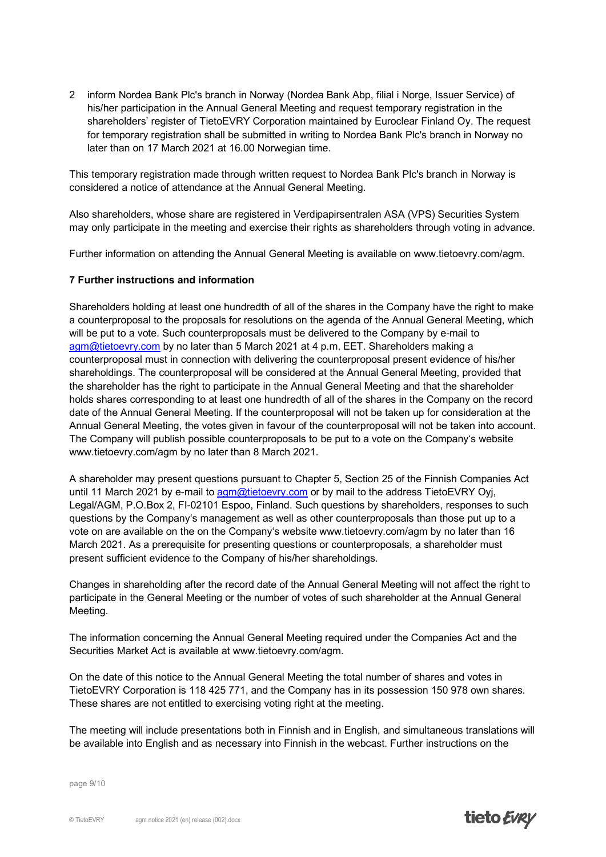2 inform Nordea Bank Plc's branch in Norway (Nordea Bank Abp, filial i Norge, Issuer Service) of his/her participation in the Annual General Meeting and request temporary registration in the shareholders' register of TietoEVRY Corporation maintained by Euroclear Finland Oy. The request for temporary registration shall be submitted in writing to Nordea Bank Plc's branch in Norway no later than on 17 March 2021 at 16.00 Norwegian time.

This temporary registration made through written request to Nordea Bank Plc's branch in Norway is considered a notice of attendance at the Annual General Meeting.

Also shareholders, whose share are registered in Verdipapirsentralen ASA (VPS) Securities System may only participate in the meeting and exercise their rights as shareholders through voting in advance.

Further information on attending the Annual General Meeting is available on www.tietoevry.com/agm.

#### **7 Further instructions and information**

Shareholders holding at least one hundredth of all of the shares in the Company have the right to make a counterproposal to the proposals for resolutions on the agenda of the Annual General Meeting, which will be put to a vote. Such counterproposals must be delivered to the Company by e-mail to [agm@tietoevry.com](mailto:agm@tietoevry.com) by no later than 5 March 2021 at 4 p.m. EET. Shareholders making a counterproposal must in connection with delivering the counterproposal present evidence of his/her shareholdings. The counterproposal will be considered at the Annual General Meeting, provided that the shareholder has the right to participate in the Annual General Meeting and that the shareholder holds shares corresponding to at least one hundredth of all of the shares in the Company on the record date of the Annual General Meeting. If the counterproposal will not be taken up for consideration at the Annual General Meeting, the votes given in favour of the counterproposal will not be taken into account. The Company will publish possible counterproposals to be put to a vote on the Company's website www.tietoevry.com/agm by no later than 8 March 2021.

A shareholder may present questions pursuant to Chapter 5, Section 25 of the Finnish Companies Act until 11 March 2021 by e-mail to [agm@tietoevry.com](mailto:agm@tietoevry.com) or by mail to the address TietoEVRY Oyj, Legal/AGM, P.O.Box 2, FI-02101 Espoo, Finland. Such questions by shareholders, responses to such questions by the Company's management as well as other counterproposals than those put up to a vote on are available on the on the Company's website www.tietoevry.com/agm by no later than 16 March 2021. As a prerequisite for presenting questions or counterproposals, a shareholder must present sufficient evidence to the Company of his/her shareholdings.

Changes in shareholding after the record date of the Annual General Meeting will not affect the right to participate in the General Meeting or the number of votes of such shareholder at the Annual General Meeting.

The information concerning the Annual General Meeting required under the Companies Act and the Securities Market Act is available at www.tietoevry.com/agm.

On the date of this notice to the Annual General Meeting the total number of shares and votes in TietoEVRY Corporation is 118 425 771, and the Company has in its possession 150 978 own shares. These shares are not entitled to exercising voting right at the meeting.

The meeting will include presentations both in Finnish and in English, and simultaneous translations will be available into English and as necessary into Finnish in the webcast. Further instructions on the

page 9/10